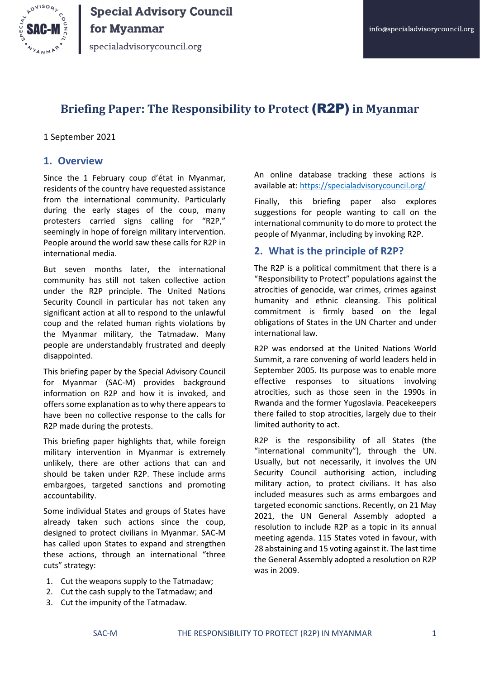

specialadvisorycouncil.org

# **Briefing Paper: The Responsibility to Protect** (R2P) **in Myanmar**

#### 1 September 2021

#### **1. Overview**

Since the 1 February coup d'état in Myanmar, residents of the country have requested assistance from the international community. Particularly during the early stages of the coup, many protesters carried signs calling for "R2P," seemingly in hope of foreign military intervention. People around the world saw these calls for R2P in international media.

But seven months later, the international community has still not taken collective action under the R2P principle. The United Nations Security Council in particular has not taken any significant action at all to respond to the unlawful coup and the related human rights violations by the Myanmar military, the Tatmadaw. Many people are understandably frustrated and deeply disappointed.

This briefing paper by the Special Advisory Council for Myanmar (SAC-M) provides background information on R2P and how it is invoked, and offers some explanation as to why there appears to have been no collective response to the calls for R2P made during the protests.

This briefing paper highlights that, while foreign military intervention in Myanmar is extremely unlikely, there are other actions that can and should be taken under R2P. These include arms embargoes, targeted sanctions and promoting accountability.

Some individual States and groups of States have already taken such actions since the coup, designed to protect civilians in Myanmar. SAC-M has called upon States to expand and strengthen these actions, through an international "three cuts" strategy:

- 1. Cut the weapons supply to the Tatmadaw;
- 2. Cut the cash supply to the Tatmadaw; and
- 3. Cut the impunity of the Tatmadaw.

An online database tracking these actions is available at:<https://specialadvisorycouncil.org/>

Finally, this briefing paper also explores suggestions for people wanting to call on the international community to do more to protect the people of Myanmar, including by invoking R2P.

#### **2. What is the principle of R2P?**

The R2P is a political commitment that there is a "Responsibility to Protect" populations against the atrocities of genocide, war crimes, crimes against humanity and ethnic cleansing. This political commitment is firmly based on the legal obligations of States in the UN Charter and under international law.

R2P was endorsed at the United Nations World Summit, a rare convening of world leaders held in September 2005. Its purpose was to enable more effective responses to situations involving atrocities, such as those seen in the 1990s in Rwanda and the former Yugoslavia. Peacekeepers there failed to stop atrocities, largely due to their limited authority to act.

R2P is the responsibility of all States (the "international community"), through the UN. Usually, but not necessarily, it involves the UN Security Council authorising action, including military action, to protect civilians. It has also included measures such as arms embargoes and targeted economic sanctions. Recently, on 21 May 2021, the UN General Assembly adopted a resolution to include R2P as a topic in its annual meeting agenda. 115 States voted in favour, with 28 abstaining and 15 voting against it. The last time the General Assembly adopted a resolution on R2P was in 2009.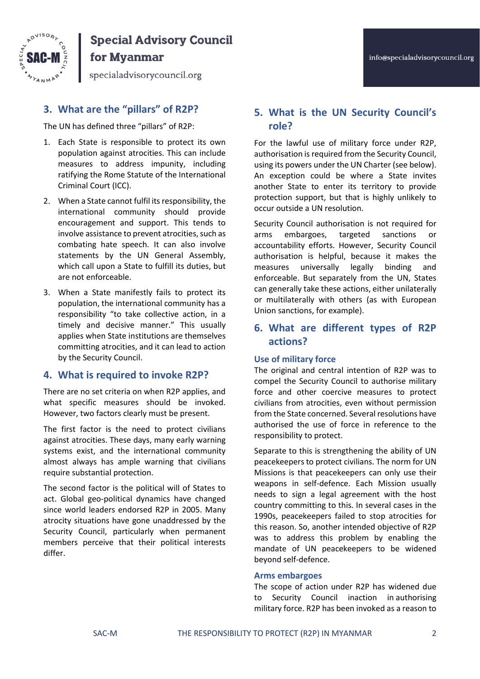

# **Special Advisory Council**

# for Myanmar

specialadvisorycouncil.org

## **3. What are the "pillars" of R2P?**

The UN has defined three "pillars" of R2P:

- 1. Each State is responsible to protect its own population against atrocities. This can include measures to address impunity, including ratifying the Rome Statute of the International Criminal Court (ICC).
- 2. When a State cannot fulfil its responsibility, the international community should provide encouragement and support. This tends to involve assistance to prevent atrocities, such as combating hate speech. It can also involve statements by the UN General Assembly, which call upon a State to fulfill its duties, but are not enforceable.
- 3. When a State manifestly fails to protect its population, the international community has a responsibility "to take collective action, in a timely and decisive manner." This usually applies when State institutions are themselves committing atrocities, and it can lead to action by the Security Council.

### **4. What is required to invoke R2P?**

There are no set criteria on when R2P applies, and what specific measures should be invoked. However, two factors clearly must be present.

The first factor is the need to protect civilians against atrocities. These days, many early warning systems exist, and the international community almost always has ample warning that civilians require substantial protection.

The second factor is the political will of States to act. Global geo-political dynamics have changed since world leaders endorsed R2P in 2005. Many atrocity situations have gone unaddressed by the Security Council, particularly when permanent members perceive that their political interests differ.

### **5. What is the UN Security Council's role?**

For the lawful use of military force under R2P, authorisation is required from the Security Council, using its powers under the UN Charter (see below). An exception could be where a State invites another State to enter its territory to provide protection support, but that is highly unlikely to occur outside a UN resolution.

Security Council authorisation is not required for arms embargoes, targeted sanctions or accountability efforts. However, Security Council authorisation is helpful, because it makes the measures universally legally binding and enforceable. But separately from the UN, States can generally take these actions, either unilaterally or multilaterally with others (as with European Union sanctions, for example).

### **6. What are different types of R2P actions?**

#### **Use of military force**

The original and central intention of R2P was to compel the Security Council to authorise military force and other coercive measures to protect civilians from atrocities, even without permission from the State concerned. Several resolutions have authorised the use of force in reference to the responsibility to protect.

Separate to this is strengthening the ability of UN peacekeepers to protect civilians. The norm for UN Missions is that peacekeepers can only use their weapons in self-defence. Each Mission usually needs to sign a legal agreement with the host country committing to this. In several cases in the 1990s, peacekeepers failed to stop atrocities for this reason. So, another intended objective of R2P was to address this problem by enabling the mandate of UN peacekeepers to be widened beyond self-defence.

#### **Arms embargoes**

The scope of action under R2P has widened due to Security Council inaction in authorising military force. R2P has been invoked as a reason to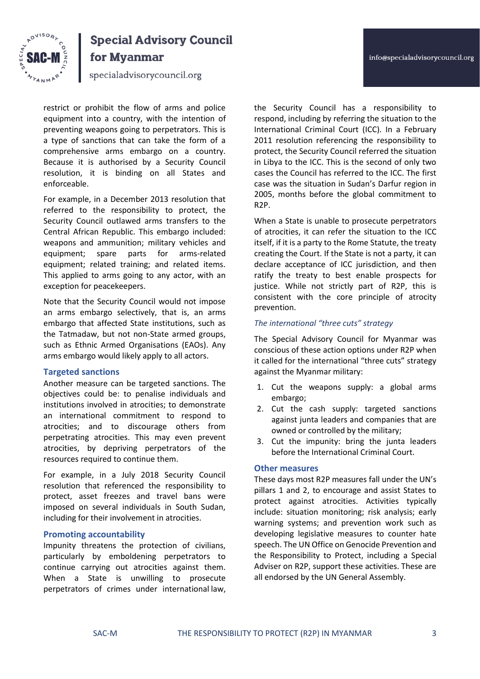



# **Special Advisory Council** for Myanmar

specialadvisorycouncil.org

restrict or prohibit the flow of arms and police

equipment into a country, with the intention of preventing weapons going to perpetrators. This is a type of sanctions that can take the form of a comprehensive arms embargo on a country. Because it is authorised by a Security Council resolution, it is binding on all States and enforceable.

For example, in a December 2013 resolution that referred to the responsibility to protect, the Security Council outlawed arms transfers to the Central African Republic. This embargo included: weapons and ammunition; military vehicles and equipment; spare parts for arms-related equipment; related training; and related items. This applied to arms going to any actor, with an exception for peacekeepers.

Note that the Security Council would not impose an arms embargo selectively, that is, an arms embargo that affected State institutions, such as the Tatmadaw, but not non-State armed groups, such as Ethnic Armed Organisations (EAOs). Any arms embargo would likely apply to all actors.

#### **Targeted sanctions**

Another measure can be targeted sanctions. The objectives could be: to penalise individuals and institutions involved in atrocities; to demonstrate an international commitment to respond to atrocities; and to discourage others from perpetrating atrocities. This may even prevent atrocities, by depriving perpetrators of the resources required to continue them.

For example, in a July 2018 Security Council resolution that referenced the responsibility to protect, asset freezes and travel bans were imposed on several individuals in South Sudan, including for their involvement in atrocities.

#### **Promoting accountability**

Impunity threatens the protection of civilians, particularly by emboldening perpetrators to continue carrying out atrocities against them. When a State is unwilling to prosecute perpetrators of crimes under international law,

the Security Council has a responsibility to respond, including by referring the situation to the International Criminal Court (ICC). In a February 2011 resolution referencing the responsibility to protect, the Security Council referred the situation in Libya to the ICC. This is the second of only two cases the Council has referred to the ICC. The first case was the situation in Sudan's Darfur region in 2005, months before the global commitment to R2P.

When a State is unable to prosecute perpetrators of atrocities, it can refer the situation to the ICC itself, if it is a party to the Rome Statute, the treaty creating the Court. If the State is not a party, it can declare acceptance of ICC jurisdiction, and then ratify the treaty to best enable prospects for justice. While not strictly part of R2P, this is consistent with the core principle of atrocity prevention.

#### *The international "three cuts" strategy*

The Special Advisory Council for Myanmar was conscious of these action options under R2P when it called for the international "three cuts" strategy against the Myanmar military:

- 1. Cut the weapons supply: a global arms embargo;
- 2. Cut the cash supply: targeted sanctions against junta leaders and companies that are owned or controlled by the military;
- 3. Cut the impunity: bring the junta leaders before the International Criminal Court.

#### **Other measures**

These days most R2P measures fall under the UN's pillars 1 and 2, to encourage and assist States to protect against atrocities. Activities typically include: situation monitoring; risk analysis; early warning systems; and prevention work such as developing legislative measures to counter hate speech. The UN Office on Genocide Prevention and the Responsibility to Protect, including a Special Adviser on R2P, support these activities. These are all endorsed by the UN General Assembly.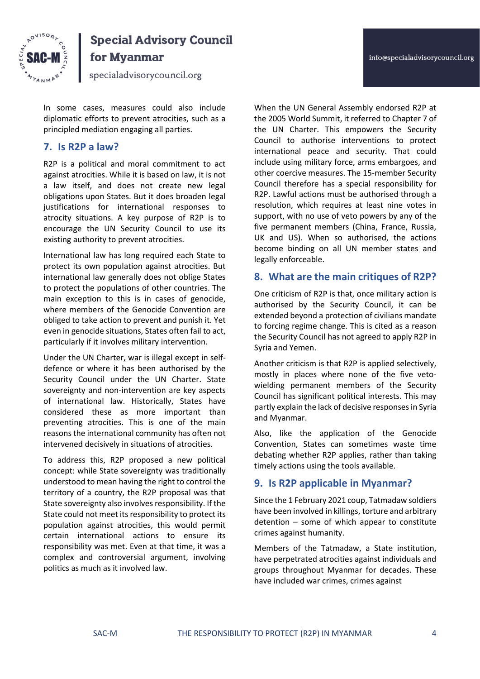

# **Special Advisory Council**

# for Myanmar

specialadvisorycouncil.org

In some cases, measures could also include diplomatic efforts to prevent atrocities, such as a principled mediation engaging all parties.

#### **7. Is R2P a law?**

R2P is a political and moral commitment to act against atrocities. While it is based on law, it is not a law itself, and does not create new legal obligations upon States. But it does broaden legal justifications for international responses to atrocity situations. A key purpose of R2P is to encourage the UN Security Council to use its existing authority to prevent atrocities.

International law has long required each State to protect its own population against atrocities. But international law generally does not oblige States to protect the populations of other countries. The main exception to this is in cases of genocide, where members of the Genocide Convention are obliged to take action to prevent and punish it. Yet even in genocide situations, States often fail to act, particularly if it involves military intervention.

Under the UN Charter, war is illegal except in selfdefence or where it has been authorised by the Security Council under the UN Charter. State sovereignty and non-intervention are key aspects of international law. Historically, States have considered these as more important than preventing atrocities. This is one of the main reasons the international community has often not intervened decisively in situations of atrocities.

To address this, R2P proposed a new political concept: while State sovereignty was traditionally understood to mean having the right to control the territory of a country, the R2P proposal was that State sovereignty also involves responsibility. If the State could not meet its responsibility to protect its population against atrocities, this would permit certain international actions to ensure its responsibility was met. Even at that time, it was a complex and controversial argument, involving politics as much as it involved law.

When the UN General Assembly endorsed R2P at the 2005 World Summit, it referred to Chapter 7 of the UN Charter. This empowers the Security Council to authorise interventions to protect international peace and security. That could include using military force, arms embargoes, and other coercive measures. The 15-member Security Council therefore has a special responsibility for R2P. Lawful actions must be authorised through a resolution, which requires at least nine votes in support, with no use of veto powers by any of the five permanent members (China, France, Russia, UK and US). When so authorised, the actions become binding on all UN member states and legally enforceable.

#### **8. What are the main critiques of R2P?**

One criticism of R2P is that, once military action is authorised by the Security Council, it can be extended beyond a protection of civilians mandate to forcing regime change. This is cited as a reason the Security Council has not agreed to apply R2P in Syria and Yemen.

Another criticism is that R2P is applied selectively, mostly in places where none of the five vetowielding permanent members of the Security Council has significant political interests. This may partly explain the lack of decisive responses in Syria and Myanmar.

Also, like the application of the Genocide Convention, States can sometimes waste time debating whether R2P applies, rather than taking timely actions using the tools available.

#### **9. Is R2P applicable in Myanmar?**

Since the 1 February 2021 coup, Tatmadaw soldiers have been involved in killings, torture and arbitrary detention – some of which appear to constitute crimes against humanity.

Members of the Tatmadaw, a State institution, have perpetrated atrocities against individuals and groups throughout Myanmar for decades. These have included war crimes, crimes against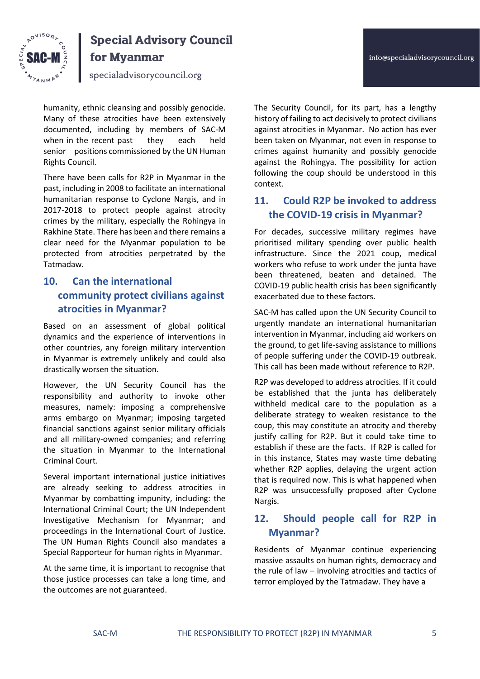



# **Special Advisory Council** for Myanmar

specialadvisorycouncil.org

humanity, ethnic cleansing and possibly genocide. Many of these atrocities have been extensively documented, including by members of SAC-M when in the recent past they each held senior positions commissioned by the UN Human Rights Council.

There have been calls for R2P in Myanmar in the past, including in 2008 to facilitate an international humanitarian response to Cyclone Nargis, and in 2017-2018 to protect people against atrocity crimes by the military, especially the Rohingya in Rakhine State. There has been and there remains a clear need for the Myanmar population to be protected from atrocities perpetrated by the Tatmadaw.

# **10. Can the international community protect civilians against atrocities in Myanmar?**

Based on an assessment of global political dynamics and the experience of interventions in other countries, any foreign military intervention in Myanmar is extremely unlikely and could also drastically worsen the situation.

However, the UN Security Council has the responsibility and authority to invoke other measures, namely: imposing a comprehensive arms embargo on Myanmar; imposing targeted financial sanctions against senior military officials and all military-owned companies; and referring the situation in Myanmar to the International Criminal Court.

Several important international justice initiatives are already seeking to address atrocities in Myanmar by combatting impunity, including: the International Criminal Court; the UN Independent Investigative Mechanism for Myanmar; and proceedings in the International Court of Justice. The UN Human Rights Council also mandates a Special Rapporteur for human rights in Myanmar.

At the same time, it is important to recognise that those justice processes can take a long time, and the outcomes are not guaranteed.

The Security Council, for its part, has a lengthy history of failing to act decisively to protect civilians against atrocities in Myanmar. No action has ever been taken on Myanmar, not even in response to crimes against humanity and possibly genocide against the Rohingya. The possibility for action following the coup should be understood in this context.

# **11. Could R2P be invoked to address the COVID-19 crisis in Myanmar?**

For decades, successive military regimes have prioritised military spending over public health infrastructure. Since the 2021 coup, medical workers who refuse to work under the junta have been threatened, beaten and detained. The COVID-19 public health crisis has been significantly exacerbated due to these factors.

SAC-M has called upon the UN Security Council to urgently mandate an international humanitarian intervention in Myanmar, including aid workers on the ground, to get life-saving assistance to millions of people suffering under the COVID-19 outbreak. This call has been made without reference to R2P.

R2P was developed to address atrocities. If it could be established that the junta has deliberately withheld medical care to the population as a deliberate strategy to weaken resistance to the coup, this may constitute an atrocity and thereby justify calling for R2P. But it could take time to establish if these are the facts. If R2P is called for in this instance, States may waste time debating whether R2P applies, delaying the urgent action that is required now. This is what happened when R2P was unsuccessfully proposed after Cyclone Nargis.

# **12. Should people call for R2P in Myanmar?**

Residents of Myanmar continue experiencing massive assaults on human rights, democracy and the rule of law – involving atrocities and tactics of terror employed by the Tatmadaw. They have a